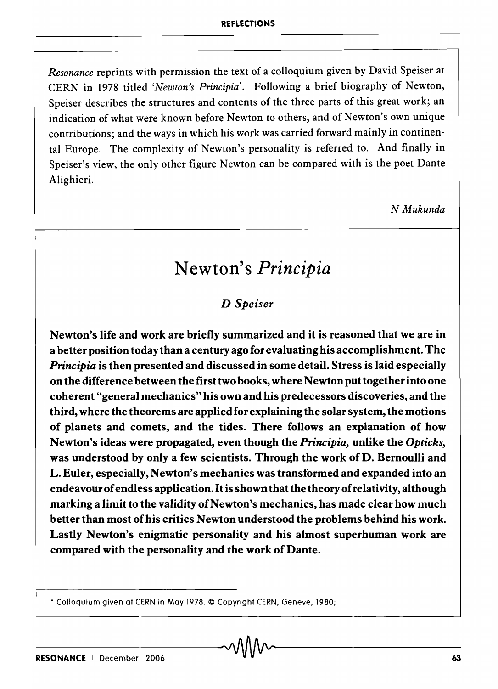*Resonance* reprints with permission the text of a colloquium given by David Speiser at CERN in 1978 titled *'Newton's Principia'.* Following a brief biography of Newton, Speiser describes the structures and contents of the three parts of this great work; an indication of what were known before Newton to others, and of Newton's own unique contributions; and the ways in which his work was carried forward mainly in continental Europe. The complexity of Newton's personality is referred to. And finally in Speiser's view, the only other figure Newton can be compared with is the poet Dante Alighieri.

*N Mukunda* 

# N ewton's *Principia*

## *D Speiser*

Newton's life and work are briefly summarized and it is reasoned that we are in a better position today than a century ago for evaluating his accomplishment. The *Principia* is then presented and discussed in some detail. Stress is laid especially on the difference between the first two books, where Newton put together into one coherent "general mechanics" his own and his predecessors discoveries, and the third, where the theorems are applied for explaining the solar system, the motions of planets and comets, and the tides. There follows an explanation of how Newton's ideas were propagated, even though the *Principia,* unlike the *Opticks,*  was understood by only a few scientists. Through the work of D. Bernoulli and L. Euler, especially, Newton's mechanics was transformed and expanded into an endeavour of endless application. It is shown that the theory of relativity, although marking a limit to the validity of Newton's mechanics, has made clear how much better than most of his critics Newton understood the problems behind his work. Lastly Newton's enigmatic personality and his almost superhuman work are compared with the personality and the work of Dante.

 $\mathcal{L} = \mathcal{L} \cup \{ \cup \} \cup \{ \cup \}$ 

<sup>\*</sup> Colloquium given at CERN in May 1978. © Copyright CERN, Geneve, 1980;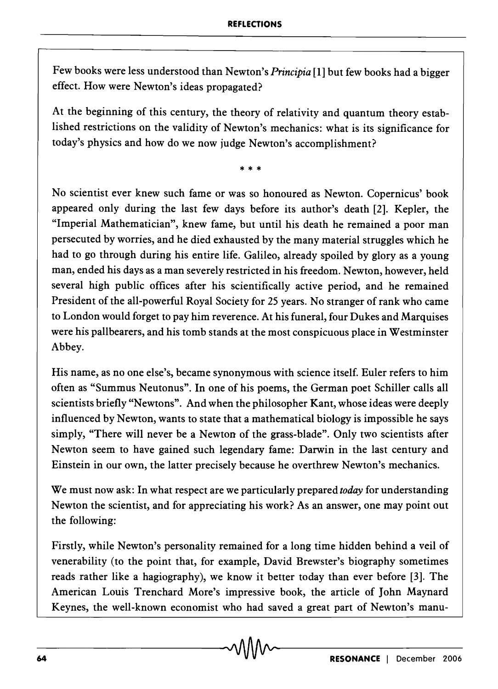Few books were less understood than Newton's *Principia* [1] but few books had a bigger effect. How were Newton's ideas propagated?

At the beginning of this century, the theory of relativity and quantum theory established restrictions on the validity of Newton's mechanics: what is its significance for today's physics and how do we now judge Newton's accomplishment?

\* \* \*

No scientist ever knew such fame or was so honoured as Newton. Copernicus' book appeared only during the last few days before its author's death [2]. Kepler, the "Imperial Mathematician", knew fame, but until his death he remained a poor man persecuted by worries, and he died exhausted by the many material struggles which he had to go through during his entire life. Galileo, already spoiled by glory as a young man, ended his days as a man severely restricted in his freedom. Newton, however, held several high public offices after his scientifically active period, and he remained President of the all-powerful Royal Society for 25 years. No stranger of rank who came to London would forget to pay him reverence. At his funeral, four Dukes and Marquises were his pallbearers, and his tomb stands at the most conspicuous place in Westminster Abbey.

His name, as no one else's, became synonymous with science itself. Euler refers to him often as "Summus Neutonus". In one of his poems, the German poet Schiller calls all scientists briefly "Newtons". And when the philosopher Kant, whose ideas were deeply influenced by Newton, wants to state that a mathematical biology is impossible he says simply, "There will never be a Newton of the grass-blade". Only two scientists after Newton seem to have gained such legendary fame: Darwin in the last century and Einstein in our own, the latter precisely because he overthrew Newton's mechanics.

We must now ask: In what respect are we particularly prepared *today* for understanding Newton the scientist, and for appreciating his work? As an answer, one may point out the following:

Firstly, while Newton's personality remained for a long time hidden behind a veil of venerability (to the point that, for example, David Brewster's biography sometimes reads rather like a hagiography), we know it better today than ever before [3]. The American Louis Trenchard More's impressive book, the article of John Maynard Keynes, the well-known economist who had saved a great part of Newton's manu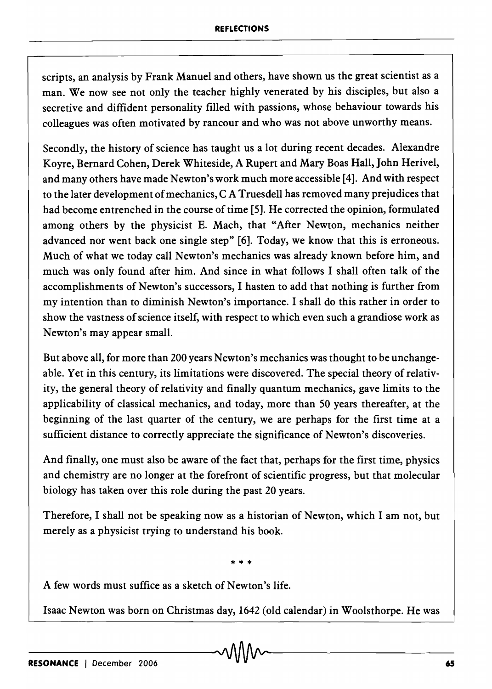scripts, an analysis by Frank Manuel and others, have shown us the great scientist as a man. We now see not only the teacher highly venerated by his disciples, but also a secretive and diffident personality filled with passions, whose behaviour towards his colleagues was often motivated by rancour and who was not above unworthy means.

Secondly, the history of science has taught us a lot during recent decades. Alexandre Koyre, Bernard Cohen, Derek Whiteside, A Rupert and Mary Boas Hall, John Herivel, and many others have made Newton's work much more accessible [4]. And with respect to the later development of mechanics, C A Truesdell has removed many prejudices that had become entrenched in the course of time [5]. He corrected the opinion, formulated among others by the physicist E. Mach, that "After Newton, mechanics neither advanced nor went back one single step" [6]. Today, we know that this is erroneous. Much of what we today call Newton's mechanics was already known before him, and much was only found after him. And since in what follows I shall often talk of the accomplishments of Newton's successors, I hasten to add that nothing is further from my intention than to diminish Newton's importance. I shall do this rather in order to show the vastness of science itself, with respect to which even such a grandiose work as Newton's may appear small.

But above all, for more than 200 years Newton's mechanics was thought to be unchangeable. Yet in this century, its limitations were discovered. The special theory of relativity, the general theory of relativity and finally quantum mechanics, gave limits to the applicability of classical mechanics, and today, more than 50 years thereafter, at the beginning of the last quarter of the century, we are perhaps for the first time at a sufficient distance to correctly appreciate the significance of Newton's discoveries.

And finally, one must also be aware of the fact that, perhaps for the first time, physics and chemistry are no longer at the forefront of scientific progress, but that molecular biology has taken over this role during the past 20 years.

Therefore, I shall not be speaking now as a historian of Newton, which I am not, but merely as a physicist trying to understand his book.

\* \* \*

A few words must suffice as a sketch of Newton's life.

Isaac Newton was born on Christmas day, 1642 (old calendar) in Woolsthorpe. He was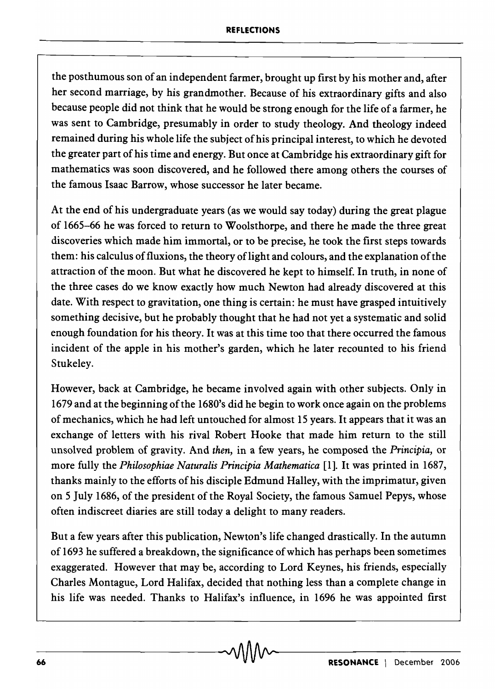the posthumous son of an independent farmer, brought up first by his mother and, after her second marriage, by his grandmother. Because of his extraordinary gifts and also because people did not think that he would be strong enough for the life of a farmer, he was sent to Cambridge, presumably in order to study theology. And theology indeed remained during his whole life the subject of his principal interest, to which he devoted the greater part of his time and energy. But once at Cambridge his extraordinary gift for mathematics was soon discovered, and he followed there among others the courses of the famous Isaac Barrow, whose successor he later became.

At the end of his undergraduate years (as we would say today) during the great plague of 1665-66 he was forced to return to Woolsthorpe, and there he made the three great discoveries which made him immortal, or to be precise, he took the first steps towards them: his calculus of fluxions, the theory oflight and colours, and the explanation of the attraction of the moon. But what he discovered he kept to himself. In truth, in none of the three cases do we know exactly how much Newton had already discovered at this date. With respect to gravitation, one thing is certain: he must have grasped intuitively something decisive, but he probably thought that he had not yet a systematic and solid enough foundation for his theory. It was at this time too that there occurred the famous incident of the apple in his mother's garden, which he later recounted to his friend Stukeley.

However, back at Cambridge, he became involved again with other subjects. Only in 1679 and at the beginning of the 1680's did he begin to work once again on the problems of mechanics, which he had left untouched for almost 15 years. It appears that it was an exchange of letters with his rival Robert Hooke that made him return to the still unsolved problem of gravity. And *then,* in a few years, he composed the *Principia,* or more fully the *Philosophiae Naturalis Principia Mathematica* [1]. It was printed in 1687, thanks mainly to the efforts of his disciple Edmund Halley, with the imprimatur, given on 5 July 1686, of the president of the Royal Society, the famous Samuel Pepys, whose often indiscreet diaries are still today a delight to many readers.

But a few years after this publication, Newton's life changed drastically. In the autumn of 1693 he suffered a breakdown, the significance of which has perhaps been sometimes exaggerated. However that may be, according to Lord Keynes, his friends, especially Charles Montague, Lord Halifax, decided that nothing less than a complete change in his life was needed. Thanks to Halifax's influence, in 1696 he was appointed first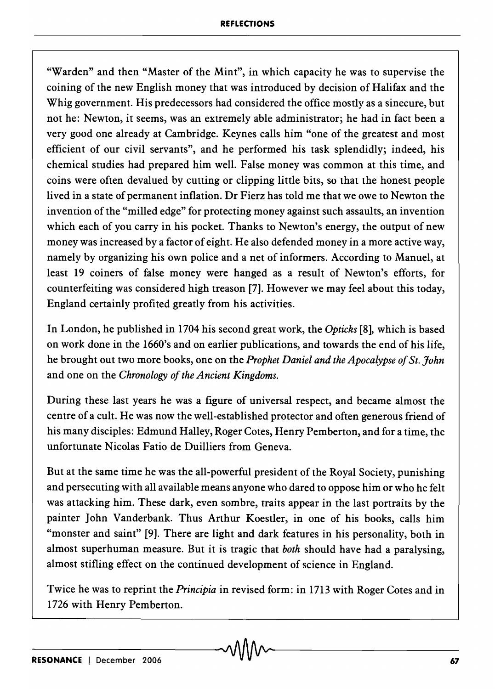"Warden" and then "Master of the Mint", in which capacity he was to supervise the coining of the new English money that was introduced by decision of Halifax and the Whig government. His predecessors had considered the office mostly as a sinecure, but not he: Newton, it seems, was an extremely able administrator; he had in fact been a very good one already at Cambridge. Keynes calls him "one of the greatest and most efficient of our civil servants", and he performed his task splendidly; indeed, his chemical studies had prepared him well. False money was common at this time, and coins were often devalued by cutting or clipping little bits, so that the honest people lived in a state of permanent inflation. Dr Fierz has told me that we owe to Newton the invention of the "milled edge" for protecting money against such assaults, an invention which each of you carry in his pocket. Thanks to Newton's energy, the output of new money was increased by a factor of eight. He also defended money in a more active way, namely by organizing his own police and a net of informers. According to Manuel, at least 19 coiners of false money were hanged as a result of Newton's efforts, for counterfeiting was considered high treason [7]. However we may feel about this today, England certainly profited greatly from his activities.

In London, he published in 1704 his second great work, the *Opticks* [81 which is based on work done in the 1660's and on earlier publications, and towards the end of his life, he brought out two more books, one on the *Prophet Daniel and the Apocalypse of St. John*  and one on the *Chronology of the Ancient Kingdoms.* 

During these last years he was a figure of universal respect, and became almost the centre of a cult. He was now the well-established protector and often generous friend of his many disciples: Edmund Halley, Roger Cotes, Henry Pemberton, and for a time, the unfortunate Nicolas Fatio de Duilliers from Geneva.

But at the same time he was the all-powerful president of the Royal Society, punishing and persecuting with all available means anyone who dared to oppose him or who he felt was attacking him. These dark, even sombre, traits appear in the last portraits by the painter John Vanderbank. Thus Arthur Koestler, in one of his books, calls him "monster and saint" [9]. There are light and dark features in his personality, both in almost superhuman measure. But it is tragic that *both* should have had a paralysing, almost stifling effect on the continued development of science in England.

Twice he was to reprint the *Principia* in revised form: in 1713 with Roger Cotes and in 1726 with Henry Pemberton.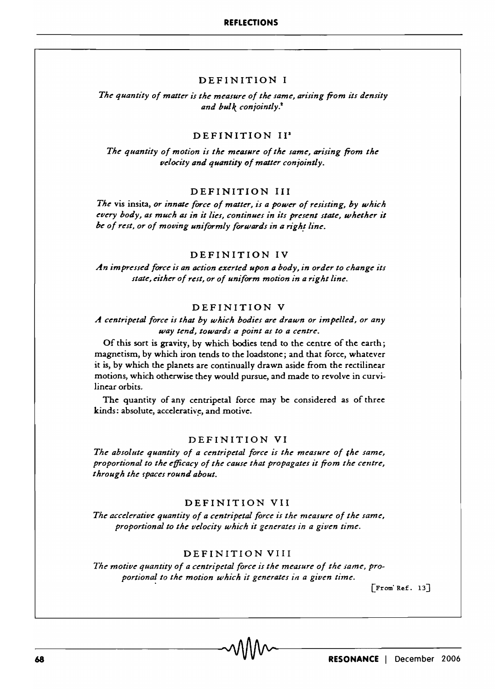#### DEFINITION I

The quantity of matter is the measure of the same, arising from its density *and bulk conjointly.2* 

#### DEFINITION II'

*The quantity of motion is the measure of the same, arising from the*  $\mathit{velocity}$  and quantity of matter conjointly.

#### DEFINITION III

The vis insita, or *innate force of matter, is a power of resisting, by which* every body, as much as in it lies, continues in its present state, whether it *be of rest, or of mOtling unzformly forwards in a righ! line.* 

#### DEFINITION IV

An impressed force is an action exerted upon a body, in order to change its state, either of rest, or of uniform motion in a right line.

#### DEFINITION V

#### A centripetal force is that by which bodies are drawn or impelled, or any  $way$  tend, towards a point as to a centre.

Of this sort is gravity, by which bodies tend to the centre of the earth; magnetism, by which iron tends to the loadstone; and that force, whatever it is, by which the planets are continually drawn aside from the rectilinear motions, which otherwise they would pursue, and made to revolve in curvilinear orbits.

The quantity of any centripetal force may be considered as of three kinds: absolute, accelerative, and motive.

#### DEFINITION VI

The absolute quantity of a centripetal force is the measure of the same, *proportional to the efficacy of the cause that propagates it from the centre,* through the spaces round about.

#### DEFINITION VII

The accelerative quantity of a centripetal force is the measure of the same, *proportional to the velocity which it generates in a given time.* 

#### DEFINITION VIII

The motive quantity of a centripetal force is the measure of the same, proportional to the motion which it generates in a given time.

[From" Ref. 13J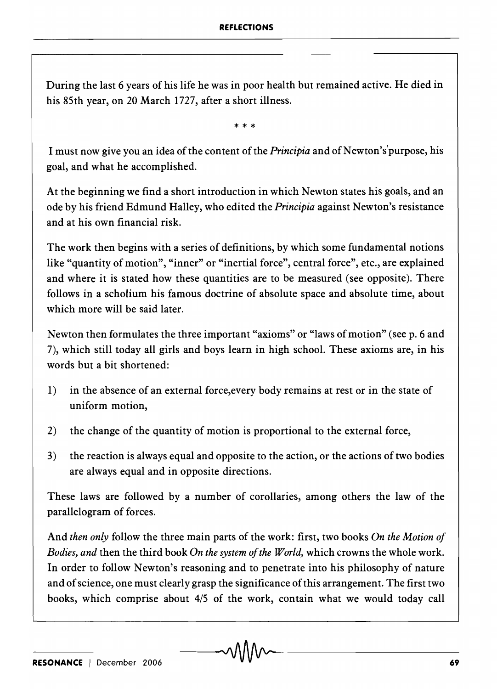During the last 6 years of his life he was in poor health but remained active. He died in his 85th year, on 20 March 1727, after a short illness.

\* \* \*

I must now give you an idea of the content of the *Principia* and of Newton's'purpose, his goal, and what he accomplished.

At the beginning we find a short introduction in which Newton states his goals, and an ode by his friend Edmund Halley, who edited the *Principia* against Newton's resistance and at his own financial risk.

The work then begins with a series of definitions, by which some fundamental notions like "quantity of motion", "inner" or "inertial force", central force", etc., are explained and where it is stated how these quantities are to be measured (see opposite). There follows in a scholium his famous doctrine of absolute space and absolute time, about which more will be said later.

Newton then formulates the three important "axioms" or "laws of motion" (see p. 6 and 7), which still today all girls and boys learn in high school. These axioms are, in his words but a bit shortened:

- 1) in the absence of an external force,every body remains at rest or in the state of uniform motion,
- 2) the change of the quantity of motion is proportional to the external force,
- 3) the reaction is always equal and opposite to the action, or the actions of two bodies are always equal and in opposite directions.

These laws are followed by a number of corollaries, among others the law of the parallelogram of forces.

And *then only* follow the three main parts of the work: first, two books *On the Motion of Bodies, and* then the third book *On the system of the World,* which crowns the whole work. In order to follow Newton's reasoning and to penetrate into his philosophy of nature and of science, one must clearly grasp the significance of this arrangement. The first two books, which comprise about 4/5 of the work, contain what we would today call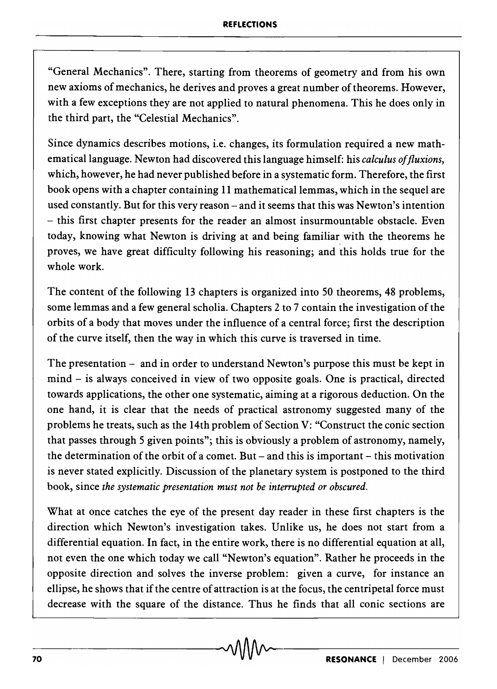"General Mechanics". There, starting from theorems of geometry and from his own new axioms of mechanics, he derives and proves a great number of theorems. However, with a few exceptions they are not applied to natural phenomena. This he does only in the third part, the "Celestial Mechanics".

Since dynamics describes motions, i.e. changes, its formulation required a new mathematicallanguage. Newton had discovered this language himself: his *calculus offluxions,*  which, however, he had never published before in a systematic form. Therefore, the first book opens with a chapter containing 11 mathematical lemmas, which in the sequel are used constantly. But for this very reason - and it seems that this was Newton's intention - this first chapter presents for the reader an almost insurmountable obstacle. Even today, knowing what Newton is driving at and being familiar with the theorems he proves, we have great difficulty following his reasoning; and this holds true for the whole work.

The content of the following 13 chapters is organized into 50 theorems, 48 problems, some lemmas and a few general scholia. Chapters 2 to 7 contain the investigation of the orbits of a body that moves under the influence of a central force; first the description of the curve itself, then the way in which this curve is traversed in time.

The presentation - and in order to understand Newton's purpose this must be kept in  $mind - is always conceived in view of two opposite goals. One is practical, directed$ towards applications, the other one systematic, aiming at a rigorous deduction. On the one hand, it is clear that the needs of practical astronomy suggested many of the problems he treats, such as the 14th problem of Section V: "Construct the conic section that passes through 5 given points"; this is obviously a problem of astronomy, namely, the determination of the orbit of a comet. But  $-$  and this is important  $-$  this motivation is never stated explicitly. Discussion of the planetary system is postponed to the third book, since *the systematic presentation must not be interrupted or obscured.* 

What at once catches the eye of the present day reader in these first chapters is the direction which Newton's investigation takes. Unlike us, he does not start from a differential equation. In fact, in the entire work, there is no differential equation at all, not even the one which today we call "Newton's equation". Rather he proceeds in the opposite direction and solves the inverse problem: given a curve, for instance an ellipse, he shows that if the centre of attraction is at the focus, the centripetal force must decrease with the square of the distance. Thus he finds that all conic sections are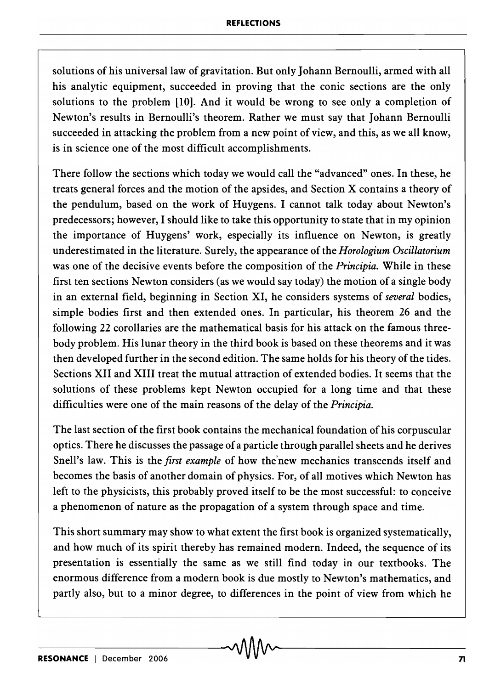solutions of his universal law of gravitation. But only Johann Bernoulli, armed with all his analytic equipment, succeeded in proving that the conic sections are the only solutions to the problem [10]. And it would be wrong to see only a completion of Newton's results in Bernoulli's theorem. Rather we must say that Johann Bernoulli succeeded in attacking the problem from a new point of view, and this, as we all know, is in science one of the most difficult accomplishments.

There follow the sections which today we would call the "advanced" ones. In these, he treats general forces and the motion of the apsides, and Section X contains a theory of the pendulum, based on the work of Huygens. I cannot talk today about Newton's predecessors; however, I should like to take this opportunity to state that in my opinion the importance of Huygens' work, especially its influence on Newton, is greatly underestimated in the literature. Surely, the appearance of the *Horologium Oscillatorium*  was one of the decisive events before the composition of the *Principia.* While in these first ten sections Newton considers (as we would say today) the motion of a single body in an external field, beginning in Section XI, he considers systems of *several* bodies, simple bodies first and then extended ones. In particular, his theorem 26 and the following 22 corollaries are the mathematical basis for his attack on the famous threebody problem. His lunar theory in the third book is based on these theorems and it was then developed further in the second edition. The same holds for his theory of the tides. Sections XII and XIII treat the mutual attraction of extended bodies. It seems that the solutions of these problems kept Newton occupied for a long time and that these difficulties were one of the main reasons of the delay of the *Principia.* 

The last section of the first book contains the mechanical foundation of his corpuscular optics. There he discusses the passage of a particle through parallel sheets and he derives Snell's law. This is the *first example* of how the'new mechanics transcends itself and becomes the basis of another domain of physics. For, of all motives which Newton has left to the physicists, this probably proved itself to be the most successful: to conceive a phenomenon of nature as the propagation of a system through space and time.

This short summary may show to what extent the first book is organized systematically, and how much of its spirit thereby has remained modern. Indeed, the sequence of its presentation is essentially the same as we still find today in our textbooks. The enormous difference from a modern book is due mostly to Newton's mathematics, and partly also, but to a minor degree, to differences in the point of view from which he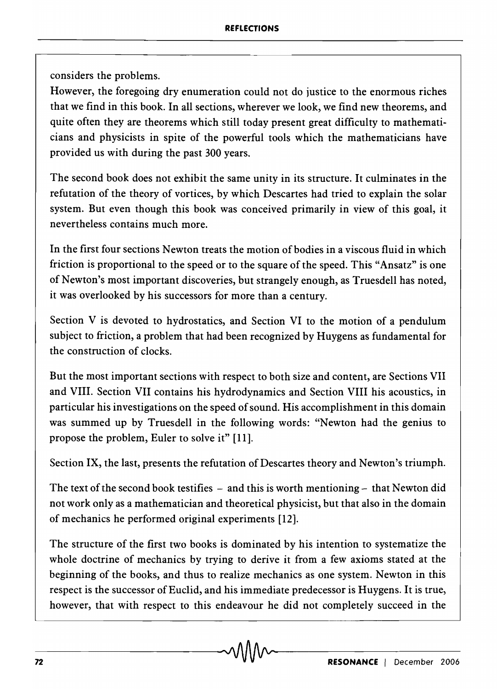considers the problems.

However, the foregoing dry enumeration could not do justice to the enormous riches that we find in this book. In all sections, wherever we look, we find new theorems, and quite often they are theorems which still today present great difficulty to mathematicians and physicists in spite of the powerful tools which the mathematicians have provided us with during the past 300 years.

The second book does not exhibit the same unity in its structure. It culminates in the refutation of the theory of vortices, by which Descartes had tried to explain the solar system. But even though this book was conceived primarily in view of this goal, it nevertheless contains much more.

In the first four sections Newton treats the motion of bodies in a viscous fluid in which friction is proportional to the speed or to the square of the speed. This "Ansatz" is one of Newton's most important discoveries, but strangely enough, as Truesdell has noted, it was overlooked by his successors for more than a century.

Section V is devoted to hydrostatics, and Section VI to the motion of a pendulum subject to friction, a problem that had been recognized by Huygens as fundamental for the construction of clocks.

But the most important sections with respect to both size and content, are Sections VII and VIII. Section VII contains his hydrodynamics and Section VIII his acoustics, in particular his investigations on the speed of sound. His accomplishment in this domain was summed up by Truesdell in the following words: "Newton had the genius to propose the problem, Euler to solve it" [11].

Section IX, the last, presents the refutation of Descartes theory and Newton's triumph.

The text of the second book testifies  $-$  and this is worth mentioning  $-$  that Newton did not work only as a mathematician and theoretical physicist, but that also in the domain of mechanics he performed original experiments [12].

The structure of the first two books is dominated by his intention to systematize the whole doctrine of mechanics by trying to derive it from a few axioms stated at the beginning of the books, and thus to realize mechanics as one system. Newton in this respect is the successor of Euclid, and his immediate predecessor is Huygens. It is true, however, that with respect to this endeavour he did not completely succeed in the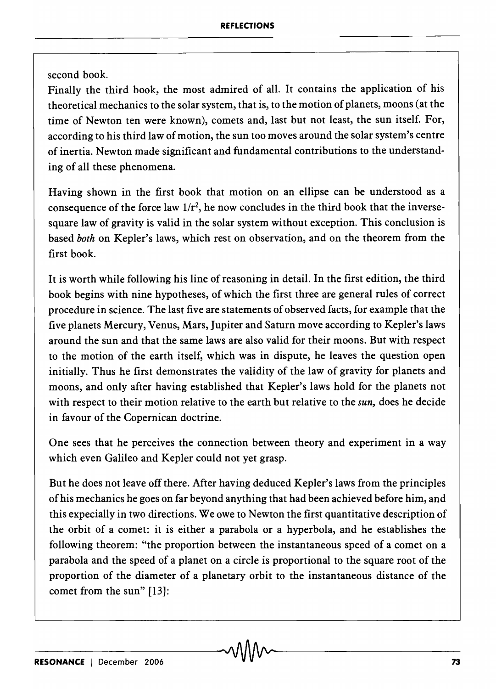second book.

Finally the third book, the most admired of all. It contains the application of his theoretical mechanics to the solar system, that is, to the motion of planets, moons (at the time of Newton ten were known), comets and, last but not least, the sun itself. For, according to his third law of motion, the sun too moves around the solar system's centre of inertia. Newton made significant and fundamental contributions to the understanding of all these phenomena.

Having shown in the first book that motion on an ellipse can be understood as a consequence of the force law  $1/r^2$ , he now concludes in the third book that the inversesquare law of gravity is valid in the solar system without exception. This conclusion is based *both* on Kepler's laws, which rest on observation, and on the theorem from the first book.

It is worth while following his line of reasoning in detail. In the first edition, the third book begins with nine hypotheses, of which the first three are general rules of correct procedure in science. The last five are statements of observed facts, for example that the five planets Mercury, Venus, Mars, Jupiter and Saturn move according to Kepler's laws around the sun and that the same laws are also valid for their moons. But with respect to the motion of the earth itself, which was in dispute, he leaves the question open initially. Thus he first demonstrates the validity of the law of gravity for planets and moons, and only after having established that Kepler's laws hold for the planets not with respect to their motion relative to the earth but relative to the *sun,* does he decide in favour of the Copernican doctrine.

One sees that he perceives the connection between theory and experiment in a way which even Galileo and Kepler could not yet grasp.

But he does not leave off there. After having deduced Kepler's laws from the principles of his mechanics he goes on far beyond anything that had been achieved before him, and this expecially in two directions. We owe to Newton the first quantitative description of the orbit of a comet: it is either a parabola or a hyperbola, and he establishes the following theorem: "the proportion between the instantaneous speed of a comet on a parabola and the speed of a planet on a circle is proportional to the square root of the proportion of the diameter of a planetary orbit to the instantaneous distance of the comet from the sun" [13]: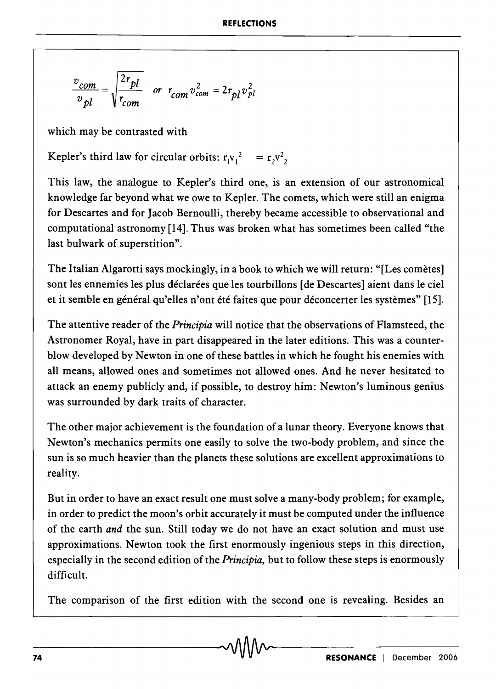$$
\frac{v_{com}}{v_{pl}} = \sqrt{\frac{2r_{pl}}{r_{com}}} \quad \text{or} \quad r_{com} v_{com}^2 = 2r_{pl} v_{pl}^2
$$

which may be contrasted with

Kepler's third law for circular orbits:  $r_1v_1^2 = r_2v_2^2$ 

This law, the analogue to Kepler's third one, is an extension of our astronomical knowledge far beyond what we owe to Kepler. The comets, which were still an enigma for Descartes and for Jacob Bernoulli, thereby became accessible to observational and computational astronomy [14]. Thus was broken what has sometimes been called "the last bulwark of superstition".

The Italian Algarotti says mockingly, in a book to which we will return: "[Les cometes] sont les ennemies les plus déclarées que les tourbillons [de Descartes] aient dans le ciel et it semble en général qu'elles n'ont été faites que pour déconcerter les systèmes" [15].

The attentive reader of the *Principia* will notice that the observations of Flamsteed, the Astronomer Royal, have in part disappeared in the later editions. This was a counterblow developed by Newton in one of these battles in which he fought his enemies with all means, allowed ones and sometimes not allowed ones. And he never hesitated to attack an enemy publicly and, if possible, to destroy him: Newton's luminous genius was surrounded by dark traits of character.

The other major achievement is the foundation of a lunar theory. Everyone knows that Newton's mechanics permits one easily to solve the two-body problem, and since the sun is so much heavier than the planets these solutions are excellent approximations to reality.

But in order to have an exact result one must solve a many-body problem; for example, in order to predict the moon's orbit accurately it must be computed under the influence of the earth *and* the sun. Still today we do not have an exact solution and must use approximations. Newton took the first enormously ingenious steps in this direction, especially in the second edition of the *Principia,* but to follow these steps is enormously difficult.

The comparison of the first edition with the second one is revealing. Besides an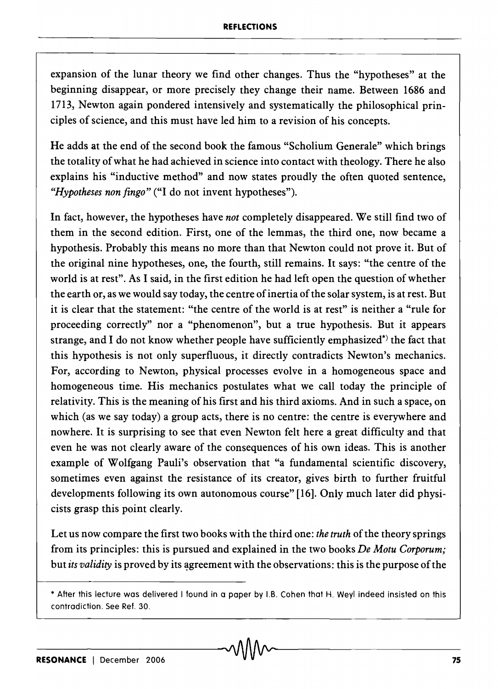expansion of the lunar theory we find other changes. Thus the "hypotheses" at the beginning disappear, or more precisely they change their name. Between 1686 and 1713, Newton again pondered intensively and systematically the philosophical principles of science, and this must have led him to a revision of his concepts.

He adds at the end of the second book the famous "Scholium Generale" which brings the totality of what he had achieved in science into contact with theology. There he also explains his "inductive method" and now states proudly the often quoted sentence, *"Hypotheses non jingo"* ("I do not invent hypotheses").

**In** fact, however, the hypotheses have *not* completely disappeared. We still find two of them in the second edition. First, one of the lemmas, the third one, now became a hypothesis. Probably this means no more than that Newton could not prove it. But of the original nine hypotheses, one, the fourth, still remains. It says: "the centre of the world is at rest". As I said, in the first edition he had left open the question of whether the earth or, as we would say today, the centre of inertia of the solar system, is at rest. But it is clear that the statement: "the centre of the world is at rest" is neither a "rule for proceeding correctly" nor a "phenomenon", but a true hypothesis. But it appears strange, and I do not know whether people have sufficiently emphasized<sup>\*</sup>) the fact that this hypothesis is not only superfluous, it directly contradicts Newton's mechanics. For, according to Newton, physical processes evolve in a homogeneous space and homogeneous time. His mechanics postulates what we call today the principle of relativity. This is the meaning of his first and his third axioms. And in such a space, on which (as we say today) a group acts, there is no centre: the centre is everywhere and nowhere. It is surprising to see that even Newton felt here a great difficulty and that even he was not clearly aware of the consequences of his own ideas. This is another example of Wolfgang Pauli's observation that "a fundamental scientific discovery, sometimes even against the resistance of its creator, gives birth to further fruitful developments following its own autonomous course" [16]. Only much later did physicists grasp this point clearly.

Let us now compare the first two books with the third one: *the truth* of the theory springs from its principles: this is pursued and explained in the two books *De Motu Corporum;*  but *its validity* is proved by its agreement with the observations: this is the purpose of the

<sup>\*</sup> After this lecture was delivered I found in a paper by LB. Cohen that H. Weyl indeed insisted on this contradiction. See Ref. 30.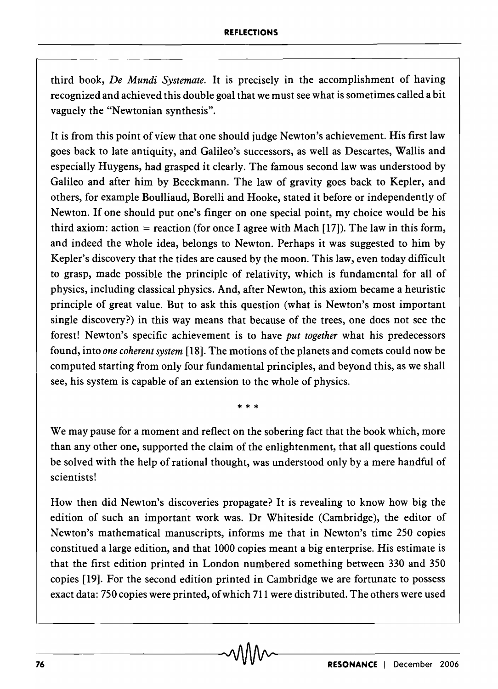third book, *De Mundi Systemate.* It is precisely in the accomplishment of having recognized and achieved this double goal that we must see what is sometimes called a bit vaguely the "Newtonian synthesis".

It is from this point of view that one should judge Newton's achievement. His first law goes back to late antiquity, and Galileo's successors, as well as Descartes, Wallis and especially Huygens, had grasped it clearly. The famous second law was understood by Galileo and after him by Beeckmann. The law of gravity goes back to Kepler, and others, for example Boulliaud, Borelli and Hooke, stated it before or independently of Newton. If one should put one's finger on one special point, my choice would be his third axiom: action = reaction (for once I agree with Mach  $[17]$ ). The law in this form, and indeed the whole idea, belongs to Newton. Perhaps it was suggested to him by Kepler's discovery that the tides are caused by the moon. This law, even today difficult to grasp, made possible the principle of relativity, which is fundamental for all of physics, including classical physics. And, after Newton, this axiom became a heuristic principle of great value. But to ask this question (what is Newton's most important single discovery?) in this way means that because of the trees, one does not see the forest! Newton's specific achievement is to have *put together* what his predecessors found, into *one coherent system* [18]. The motions of the planets and comets could now be computed starting from only four fundamental principles, and beyond this, as we shall see, his system is capable of an extension to the whole of physics.

\* \* \*

We may pause for a moment and reflect on the sobering fact that the book which, more than any other one, supported the claim of the enlightenment, that all questions could be solved with the help of rational thought, was understood only by a mere handful of scientists!

How then did Newton's discoveries propagate? It is revealing to know how big the edition of such an important work was. Dr Whiteside (Cambridge), the editor of Newton's mathematical manuscripts, informs me that in Newton's time 250 copies constitued a large edition, and that 1000 copies meant a big enterprise. His estimate is that the first edition printed in London numbered something between 330 and 350 copies [19]. For the second edition printed in Cambridge we are fortunate to possess exact data: 750 copies were printed, of which 711 were distributed. The others were used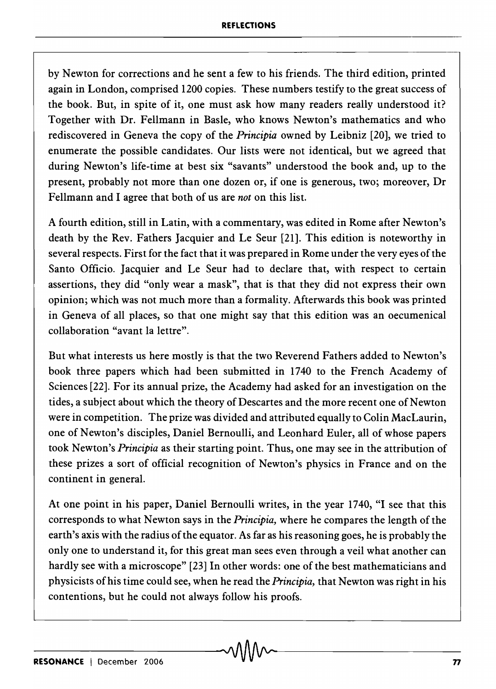#### **REFLECTIONS**

by Newton for corrections and he sent a few to his friends. The third edition, printed again in London, comprised 1200 copies. These numbers testify to the great success of the book. But, in spite of it, one must ask how many readers really understood it? Together with Dr. Fellmann in Basle, who knows Newton's mathematics and who rediscovered in Geneva the copy of the *Principia* owned by Leibniz [20], we tried to enumerate the possible candidates. Our lists were not identical, but we agreed that during Newton's life-time at best six "savants" understood the book and, up to the present, probably not more than one dozen or, if one is generous, two; moreover, Dr Fellmann and I agree that both of us are *not* on this list.

A fourth edition, still in Latin, with a commentary, was edited in Rome after Newton's death by the Rev. Fathers Jacquier and Le Seur [21]. This edition is noteworthy in several respects. First for the fact that it was prepared in Rome under the very eyes of the Santo Officio. Jacquier and Le Seur had to declare that, with respect to certain assertions, they did "only wear a mask", that is that they did not express their own opinion; which was not much more than a formality. Afterwards this book was printed in Geneva of all places, so that one might say that this edition was an oecumenical collaboration "avant la lettre".

But what interests us here mostly is that the two Reverend Fathers added to Newton's book three papers which had been submitted in 1740 to the French Academy of Sciences [22]. For its annual prize, the Academy had asked for an investigation on the tides, a subject about which the theory of Descartes and the more recent one of Newton were in competition. The prize was divided and attributed equally to Colin MacLaurin, one of Newton's disciples, Daniel Bernoulli, and Leonhard Euler, all of whose papers took Newton's *Principia* as their starting point. Thus, one may see in the attribution of these prizes a sort of official recognition of Newton's physics in France and on the continent in general.

At one point in his paper, Daniel Bernoulli writes, in the year 1740, "I see that this corresponds to what Newton says in the *Principia,* where he compares the length of the earth's axis with the radius of the equator. As far as his reasoning goes, he is probably the only one to understand it, for this great man sees even through a veil what another can hardly see with a microscope" [23] In other words: one of the best mathematicians and physicists of his time could see, when he read the *Principia,* that Newton was right in his contentions, but he could not always follow his proofs.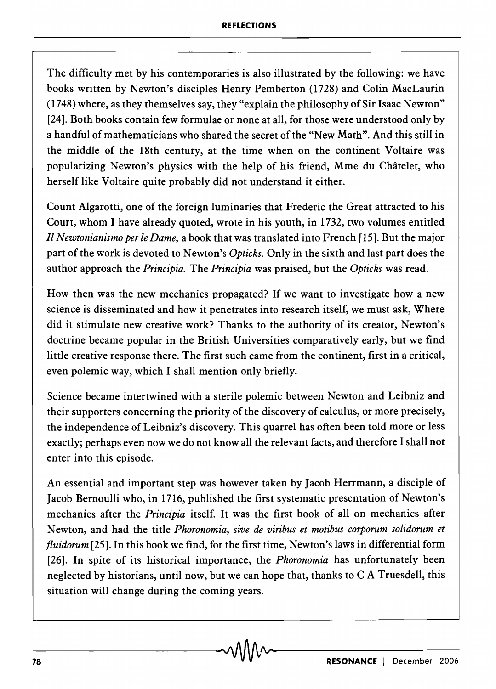The difficulty met by his contemporaries is also illustrated by the following: we have books written by Newton's disciples Henry Pemberton (1728) and Colin MacLaurin (1748) where, as they themselves say, they "explain the philosophy of Sir Isaac Newton" [24]. Both books contain few formulae or none at all, for those were understood only by a handful of mathematicians who shared the secret of the "New Math". And this still in the middle of the 18th century, at the time when on the continent Voltaire was popularizing Newton's physics with the help of his friend, Mme du Chatelet, who herself like Voltaire quite probably did not understand it either.

Count Algarotti, one of the foreign luminaries that Frederic the Great attracted to his Court, whom I have already quoted, wrote in his youth, in 1732, two volumes entitled *II Newtonianismo per Ie Dame,* a book that was translated into French [15]. But the major part of the work is devoted to Newton's *Opticks.* Only in the sixth and last part does the author approach the *Principia.* The *Principia* was praised, but the *Opticks* was read.

How then was the new mechanics propagated? If we want to investigate how a new science is disseminated and how it penetrates into research itself, we must ask, Where did it stimulate new creative work? Thanks to the authority of its creator, Newton's doctrine became popular in the British Universities comparatively early, but we find little creative response there. The first such came from the continent, first in a critical, even polemic way, which I shall mention only briefly.

Science became intertwined with a sterile polemic between Newton and Leibniz and their supporters concerning the priority of the discovery of calculus, or more precisely, the independence of Leibniz's discovery. This quarrel has often been told more or less exactly; perhaps even now we do not know all the relevant facts, and therefore I shall not enter into this episode.

An essential and important step was however taken by Jacob Herrmann, a disciple of Jacob Bernoulli who, in 1716, published the first systematic presentation of Newton's mechanics after the *Principia* itself. It was the first book of all on mechanics after Newton, and had the title *Phoronomia, sive de viribus et motibus corporum solidorum et fluidorum* [25]. In this book we find, for the first time, Newton's laws in differential form [26]. In spite of its historical importance, the *Phoronomia* has unfortunately been neglected by historians, until now, but we can hope that, thanks to C A Truesdell, this situation will change during the coming years.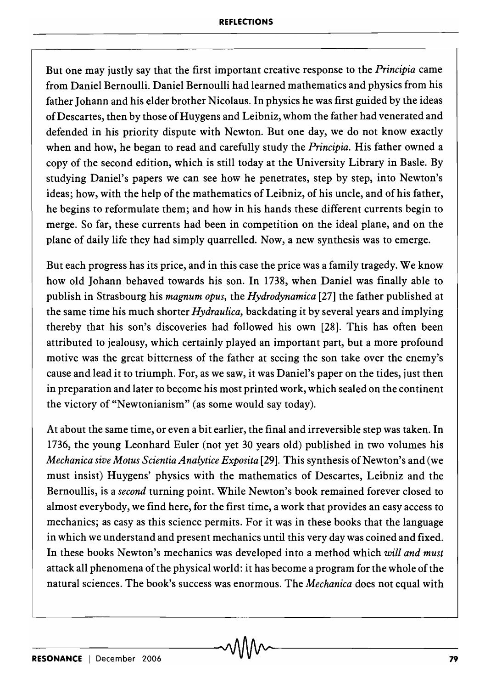#### **REFLECTIONS**

But one may justly say that the first important creative response to the *Principia* came from Daniel Bernoulli. Daniel Bernoulli had learned mathematics and physics from his father Johann and his elder brother Nicolaus. **In** physics he was first guided by the ideas of Descartes, then by those ofHuygens and Leibniz, whom the father had venerated and defended in his priority dispute with Newton. But one day, we do not know exactly when and how, he began to read and carefully study the *Principia.* His father owned a copy of the second edition, which is still today at the University Library in Basle. By studying Daniel's papers we can see how he penetrates, step by step, into Newton's ideas; how, with the help of the mathematics of Leibniz, of his uncle, and of his father, he begins to reformulate them; and how in his hands these different currents begin to merge. So far, these currents had been in competition on the ideal plane, and on the plane of daily life they had simply quarrelled. Now, a new synthesis was to emerge.

But each progress has its price, and in this case the price was a family tragedy. We know how old Johann behaved towards his son. **In** 1738, when Daniel was finally able to publish in Strasbourg his *magnum opus,* the *Hydrodynamica* [27] the father published at the same time his much shorter *Hydraulica,* backdating it by several years and implying thereby that his son's discoveries had followed his own [28]. This has often been attributed to jealousy, which certainly played an important part, but a more profound motive was the great bitterness of the father at seeing the son take over the enemy's cause and lead it to triumph. For, as we saw, it was Daniel's paper on the tides, just then in preparation and later to become his most printed work, which sealed on the continent the victory of "Newtonianism" (as some would say today).

At about the same time, or even a bit earlier, the final and irreversible step was taken. **In**  1736, the young Leonhard Euler (not yet 30 years old) published in two volumes his *Mechanica sive Motus ScientiaAnalytice Exposita* [29]. This synthesis of Newton's and (we must insist) Huygens' physics with the mathematics of Descartes, Leibniz and the Bernoullis, is a *second* turning point. While Newton's book remained forever closed to almost everybody, we find here, for the first time, a work that provides an easy access to mechanics; as easy as this science permits. For it was in these books that the language in which we understand and present mechanics until this very day was coined and fixed. **In** these books Newton's mechanics was developed into a method which *will and must*  attack all phenomena of the physical world: it has become a program for the whole of the natural sciences. The book's success was enormous. The *Mechanica* does not equal with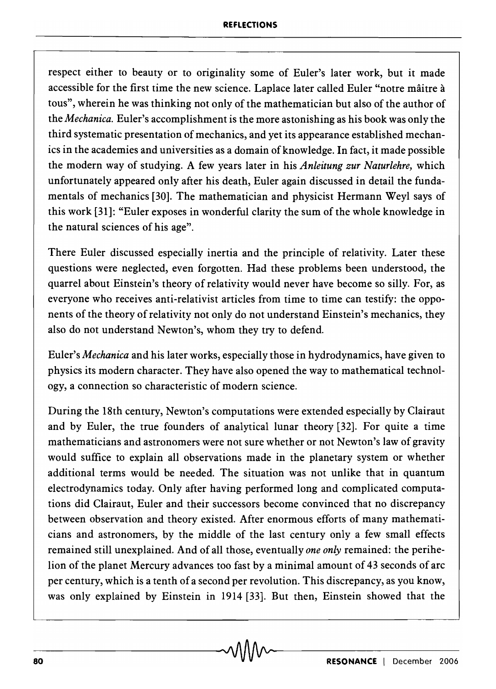#### **REFLECTIONS**

respect either to beauty or to originality some of Euler's later work, but it made accessible for the first time the new science. Laplace later called Euler "notre maitre a tous", wherein he was thinking not only of the mathematician but also of the author of the *Mechanica.* Euler's accomplishment is the more astonishing as his book was only the third systematic presentation of mechanics, and yet its appearance established mechanics in the academies and universities as a domain of knowledge. **In** fact, it made possible the modern way of studying. A few years later in his *Anleitung zur Naturlehre,* which unfortunately appeared only after his death, Euler again discussed in detail the fundamentals of mechanics [30]. The mathematician and physicist Hermann Weyl says of this work [31]: "Euler exposes in wonderful clarity the sum of the whole knowledge in the natural sciences of his age".

There Euler discussed especially inertia and the principle of relativity. Later these questions were neglected, even forgotten. Had these problems been understood, the quarrel about Einstein's theory of relativity would never have become so silly. For, as everyone who receives anti-relativist articles from time to time can testify: the opponents of the theory of relativity not only do not understand Einstein's mechanics, they also do not understand Newton's, whom they try to defend.

Euler's *Mechanica* and his later works, especially those in hydrodynamics, have given to physics its modern character. They have also opened the way to mathematical technology, a connection so characteristic of modern science.

During the 18th century, Newton's computations were extended especially by Clairaut and by Euler, the true founders of analytical lunar theory [32]. For quite a time mathematicians and astronomers were not sure whether or not Newton's law of gravity would suffice to explain all observations made in the planetary system or whether additional terms would be needed. The situation was not unlike that in quantum electrodynamics today. Only after having performed long and complicated computations did Clairaut, Euler and their successors become convinced that no discrepancy between observation and theory existed. After enormous efforts of many mathematicians and astronomers, by the middle of the last century only a few small effects remained still unexplained. And of all those, eventually *one only* remained: the perihelion of the planet Mercury advances too fast by a minimal amount of 43 seconds of arc per century, which is a tenth of a second per revolution. This discrepancy, as you know, was only explained by Einstein in 1914 [33]. But then, Einstein showed that the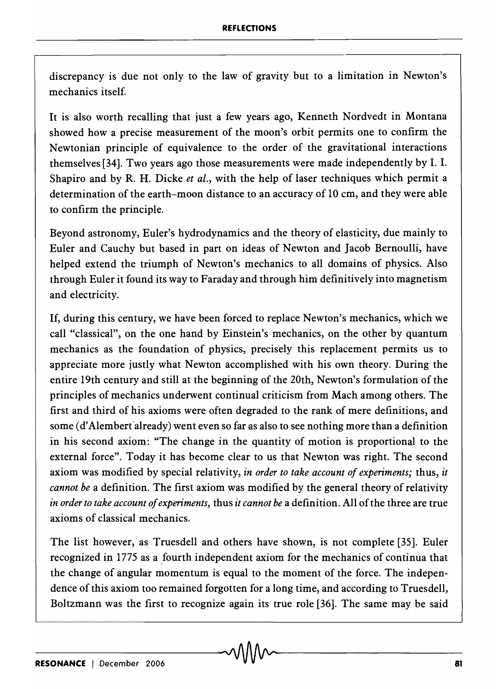discrepancy is due not only to the law of gravity but to a limitation in Newton's mechanics itself.

It is also worth recalling that just a few years ago, Kenneth Nordvedt in Montana showed how a precise measurement of the moon's orbit permits one to confirm the Newtonian principle of equivalence to the order of the gravitational interactions themselves [34]. Two years ago those measurements were made independently by I. I. Shapiro and by R. H. Dicke *et al.,* with the help of laser techniques which permit a determination of the earth-moon distance to an accuracy of 10 cm, and they were able to confirm the principle.

Beyond astronomy, Euler's hydrodynamics and the theory of elasticity, due mainly to Euler and Cauchy but based in part on ideas of Newton and Jacob Bernoulli, have helped extend the triumph of Newton's mechanics to all domains of physics. Also through Euler it found its way to Faraday and through him definitively into magnetism and electricity.

If, during this century, we have been forced to replace Newton's mechanics, which we call "classical", on the one hand by Einstein's mechanics, on the other by quantum mechanics as the foundation of physics, precisely this replacement permits us to appreciate more justly what Newton accomplished with his own theory. During the entire 19th century and still at the beginning of the 20th, Newton's formulation of the principles of mechanics underwent continual criticism from Mach among others. The first and third of his axioms were often degraded to the rank of mere definitions, and some (d'Alembert already) went even so far as also to see nothing more than a definition in his second axiom: "The change in the quantity of motion is proportional to the external force". Today it has become clear to us that Newton was right. The second axiom was modified by special relativity, *in order to take account of experiments;* thus, *it cannot be* a definition. The first axiom was modified by the general theory of relativity *in order to take account of experiments,* thus *it cannot be* a definition. All of the three are true axioms of classical mechanics.

The list however, as Truesdell and others have shown, is not complete [35]. Euler recognized in 1775 as a fourth independent axiom for the mechanics of continua that the change of angular momentum is equal to the moment of the force. The independence of this axiom too remained forgotten for a long time, and according to Truesdell, Boltzmann was the first to recognize again its true role [36]. The same may be said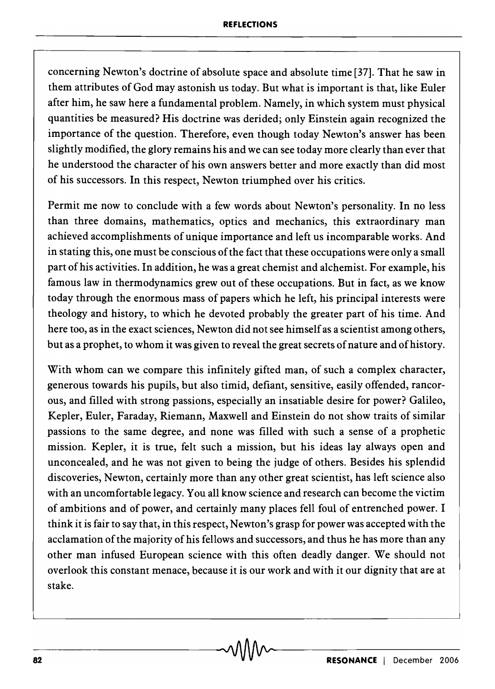concerning Newton's doctrine of absolute space and absolute time [37]. That he saw in them attributes of God may astonish us today. But what is important is that, like Euler after him, he saw here a fundamental problem. Namely, in which system must physical quantities be measured? His doctrine was derided; only Einstein again recognized the importance of the question. Therefore, even though today Newton's answer has been slightly modified, the glory remains his and we can see today more clearly than ever that he understood the character of his own answers better and more exactly than did most of his successors. In this respect, Newton triumphed over his critics.

Permit me now to conclude with a few words about Newton's personality. In no less than three domains, mathematics, optics and mechanics, this extraordinary man achieved accomplishments of unique importance and left us incomparable works. And in stating this, one must be conscious of the fact that these occupations were only a small part of his activities. In addition, he was a great chemist and alchemist. For example, his famous law in thermodynamics grew out of these occupations. But in fact, as we know today through the enormous mass of papers which he left, his principal interests were theology and history, to which he devoted probably the greater part of his time. And here too, as in the exact sciences, Newton did not see himself as a scientist among others, but as a prophet, to whom it was given to reveal the great secrets of nature and of history.

With whom can we compare this infinitely gifted man, of such a complex character, generous towards his pupils, but also timid, defiant, sensitive, easily offended, rancorous, and filled with strong passions, especially an insatiable desire for power? Galileo, Kepler, Euler, Faraday, Riemann, Maxwell and Einstein do not show traits of similar passions to the same degree, and none was filled with such a sense of a prophetic mission. Kepler, it is true, felt such a mission, but his ideas lay always open and unconcealed, and he was not given to being the judge of others. Besides his splendid discoveries, Newton, certainly more than any other great scientist, has left science also with an uncomfortable legacy. You all know science and research can become the victim of ambitions and of power, and certainly many places fell foul of entrenched power. I think it is fair to say that, in this respect, Newton's grasp for power was accepted with the acclamation of the majority of his fellows and successors, and thus he has more than any other man infused European science with this often deadly danger. We should not overlook this constant menace, because it is our work and with it our dignity that are at stake.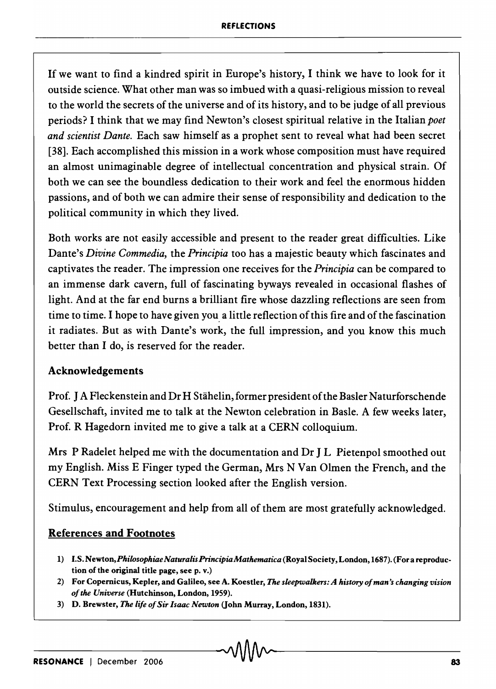If we want to find a kindred spirit in Europe's history, I think we have to look for it outside science. What other man was so imbued with a quasi-religious mission to reveal to the world the secrets of the universe and of its history, and to be judge of all previous periods? I think that we may find Newton's closest spiritual relative in the Italian *poet and scientist Dante.* Each saw himself as a prophet sent to reveal what had been secret [38]. Each accomplished this mission in a work whose composition must have required an almost unimaginable degree of intellectual concentration and physical strain. Of both we can see the boundless dedication to their work and feel the enormous hidden passions, and of both we can admire their sense of responsibility and dedication to the political community in which they lived.

Both works are not easily accessible and present to the reader great difficulties. Like Dante's *Divine Com media,* the *Principia* too has a majestic beauty which fascinates and captivates the reader. The impression one receives for the *Principia* can be compared to an immense dark cavern, full of fascinating byways revealed in occasional flashes of light. And at the far end burns a brilliant fire whose dazzling reflections are seen from time to time. I hope to have given you. a little reflection of this fire and of the fascination it radiates. But as with Dante's work, the full impression, and you know this much better than I do, is reserved for the reader.

# Acknowledgements

Prof. J A Fleckenstein and Dr H Stahelin, former president of the Basler Naturforschende Gesellschaft, invited me to talk at the Newton celebration in Basle. A few weeks later, Prof. R Hagedorn invited me to give a talk at a CERN colloquium.

Mrs P Radelet helped me with the documentation and Dr J L Pietenpol smoothed out my English. Miss E Finger typed the German, Mrs N Van Olmen the French, and the CERN Text Processing section looked after the English version.

Stimulus, encouragement and help from all of them are most gratefully acknowledged.

## References and Footnotes

- 1) I.S. N *ewton,Philosophiae Naturalis Principia Mathematica* (Royal Society, London, 1687). (For a reproduction of the original title page, see p. v.)
- 2) For Copernicus, Kepler, and Galileo, see A. Koestler, *The sleepwalkers: A history of man's changing vision of the Universe* (Hutchinson, London, 1959).
- 3) D. Brewster, The *life of Sir Isaac Newton* Uohn Murray, London, 1831).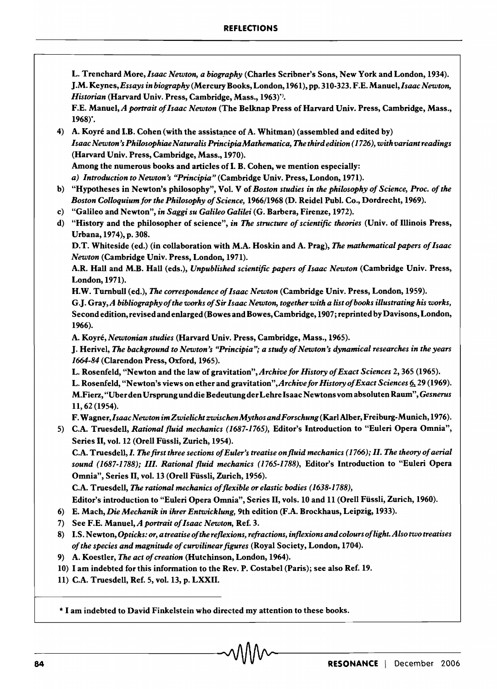L. Trenchard More, *Isaac Newton, a biography* (Charles Scribner's Sons, New York and London, 1934). J.M. *Keynes,Essays in biography* (Mercury Books, London, 1961), pp. 310-323. F.E. Manuel, *Isaac Newton, Historian* (Harvard Univ. Press, Cambridge, Mass., 1963)\*).

F.E. Manuel, *A portrait of Isaac Newton* (The Belknap Press of Harvard Univ. Press, Cambridge, Mass., 1968)\*.

- 4) A. Koyré and I.B. Cohen (with the assistance of A. Whitman) (assembled and edited by) *Isaac Newton's Philosophiae Naturalis Principia Mathematica, The third edition* ( 1726), *with variant readings*  (Harvard Univ. Press, Cambridge, Mass., 1970). Among the numerous books and articles of I. B. Cohen, we mention especially: *a) Introduction to Newton's "Principia"* (Cambridge Univ. Press, London, 1971).
- b) "Hypotheses in Newton's philosophy", Vol. V of *Boston studies in the philosophy of Science, Proc. of the Boston Colloquium for the Philosophy of Science,* 1966/1968 (D. Reidel Publ. Co., Dordrecht, 1969).
- c) "Galileo and Newton", *in Saggi su Galileo Galilei* (G. Barbera, Firenze, 1972).
- d) "History and the philosopher of science", *in The structure of scientific theories* (Univ. of Illinois Press, Urbana, 1974), p. 308.

D.T. Whiteside (ed.) (in collaboration with M.A. Hoskin and A. Prag), The *mathematical papers of Isaac Newton* (Cambridge Univ. Press, London, 1971).

A.R. Hall and M.B. Hall (eds.), *Unpublished scientific papers of Isaac Newton* (Cambridge Univ. Press, London, 1971).

H.W. Turnbull (ed.), The *correspondence of Isaac Newton* (Cambridge Univ. Press, London, 1959).

G.J. Gray, *A bibliography of the works of Sir Isaac Newton, together with a list of books illustrating his works,*  Second edition, revised and enlarged (Bowes and Bowes, Cambridge, 1907; reprinted by Davisons, London, 1966).

A. Koyre, *Newtonian studies* (Harvard Univ. Press, Cambridge, Mass., 1965).

J. Herivel, *The background to Newton's "Principia"; a study of Newton's dynamical researches in the years*  1664-84 (Clarendon Press, Oxford, 1965).

L. Rosenfeld, "Newton and the law of gravitation", *Archive for History of Exact Sciences* 2, 365 (1965).

L. Rosenfeld, "Newton's views on ether and gravitation", *Archive for History of Exact Sciences* 6, 29 (1969). M.Fierz, "Uber den U rsprung und die Bedeutung der Lehre Isaac Newtons yom absoluten Raum", *Gesnerus*  11,62 (1954).

F. Wagner, *Isaac Newton im Zwielicht zwischen Mythos andForschung* (Karl Al ber, Freiburg-Munich,1976).

5) C.A. Truesdell, *Rational fluid mechanics* (1687-1765), Editor's Introduction to "Euleri Opera Omnia", Series II, vol. 12 (Orell Fiissli, Zurich, 1954).

C.A. Truesdell, *I. The first three sections of Euler's treatise on fluid mechanics (1766); II. The theory of aerial sound* (1687-1788); *III. Rational fluid mechanics* (1765-1788), Editor's Introduction to "Euleri Opera Omnia", Series II, vol. 13 (Orell Fiissli, Zurich, 1956).

C.A. Truesdell, The *rational mechanics of flexible or elastic bodies* (1638-1788),

Editor's introduction to "Euleri Opera Omnia", Series II, vols. 10 and 11 (Orell Fiissli, Zurich, 1960).

- 6) E. Mach, *Die Mechanik in ihrer Entwicklung,* 9th edition (F.A. Brockhaus, Leipzig, 1933).
- 7) See F.E. Manuel, *A portrait of Isaac Newton,* Ref. 3.
- 8) I.S. Newton, *Opticks: or, a treatise of the reflexions, refractions, inflexions and colours of light. Also two treatises of the species and magnitude of curvilinear figures* (Royal Society, London, 1704).
- 9) A. Koestler, *The act of creation* (Hutchinson, London, 1964).
- 10) I am indebted for this information to the Rev. P. Costabel (Paris); see also Ref. 19.
- 11) C.A. Truesdell, Ref. 5, vol. 13, p. LXXII.

\* I am indebted to David Finkelstein who directed my attention to these books.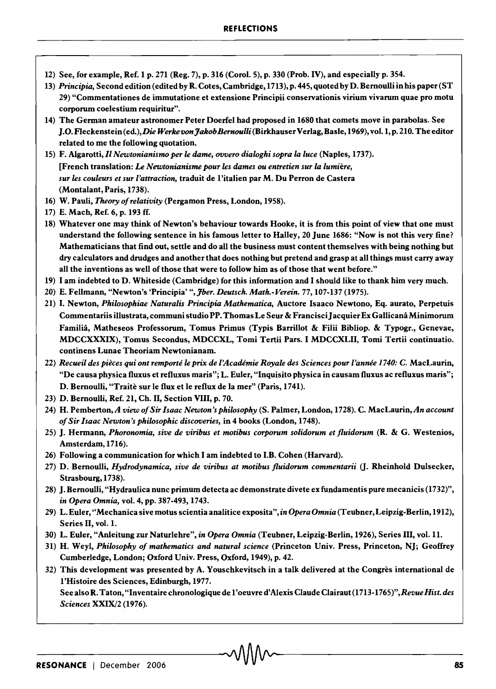- 12) See, for example, Ref. 1 p. 271 (Reg. 7), p. 316 (Corol. 5), p. 330 (Prob. IV), and especially p. 354.
- 13) *Principia,* Second edition (edited by R. Cotes, Cambridge, 1713), p. 445, quoted by D. Bernoulli in his paper (ST 29) "Commentationes de immutatione et extensione Principii conservationis virium vivarum quae pro motu corporum coelestium requiritur".
- 14) The Gennan amateur astronomer Peter Doerfel had proposed in 1680 that comets move in parabolas. See J .0. Fleckenstein (ed.),Die *Werkevon JakobBernoulli* (Birkhauser Verlag, Basle, 1969), vol. 1, p. 210. The editor related to me the following quotation.
- 15) F. Algarotti, *11 Newtonianismo per Ie dame, ovvero dialoghi sopra la luce* (Naples, 1737). [French translation: *Le Newtonianisme pour les dames ou entretien sur la lumiere, sur les couleurs et sur l'attraction,* traduit de l'italien par M. Du Perron de Castera (Montalant, Paris, 1738).
- 16) W. Pauli, *Theory of relativity* (Pergamon Press, London, 1958).
- 17) E. Mach, Ref. 6, p. 193 ff.
- 18) Whatever one may think of Newton's behaviour towards Hooke, it is from this point of view that one must understand the following sentence in his famous letter to Halley, 20 June 1686: "Now is not this very fine? Mathematicians that find out, settle and do all the business must content themselves with being nothing but dry calculators and drudges and another that does nothing but pretend and grasp at all things must carry away all the inventions as well of those that were to follow him as of those that went before."
- 19) I am indebted to D. Whiteside (Cambridge) for this infonnation and I should like to thank him very much.
- 20) E. Fellmann, "Newton's 'Principia' *",Jber. Deutsch. Math.-Verein.* 77,107-137 (1975).
- 21) I. Newton, *Philosophiae Naturalis Principia Mathematica,* Auctore Isaaco Newtono, Eq. aurato, Perpetuis Commentariis illustrata, communi studio PP. Thomas Le Seur & Francisci Jacquier Ex Gallicanâ Minimorum Familia, Matheseos Professorum, Tomus Primus (Typis Barrillot & Filii Bibliop. & Typogr., Genevae, MDCCXXXIX), Tomus Secondus, MDCCXL, Tomi Tertii Pars. I MDCCXLII, Tomi Tertii continuatio. continens Lunae Theoriam Newtonianam.
- *22) Recueil des pieces qui ont rem porte Ie prix de l'Academie Royale des Sciences pour l'annee 1740:* C. MacLaurin, "De causa physica fluxus et refluxus maris"; L. Euler, "Inquisito physica in causam fluxus ac refluxus maris"; D. Bernoulli, "Traitè sur le flux et le reflux de la mer" (Paris, 1741).
- 23) D. Bernoulli, Ref. 21, Ch. II, Section VIII, p. 70.
- 24) H. Pemberton, *A view of Sir Isaac Newton's philosophy* (S. Palmer, London, 1728). C. MacLaurin, *An account of Sir Isaac Newton's philosophic discoveries,* in 4 books (London, 1748).
- 25) J. Hennann, *Phoronomia, sive de viribus et motibus corporum solidorum et fluidorum* (R. & G. Westenios, Amsterdam, 1716).
- 26) Following a communication for which I am indebted to I.B. Cohen (Harvard).
- 27) D. Bernoulli, *Hydrodynamica, sive de viribus at motibus fluidorum commentarii* U. Rheinhold Dulsecker, Strasbourg, 1738).
- 28) J. Bernoulli, "Hydraulica nunc primum detecta ac demonstrate divete ex fundamentis pure mecanicis (1732)", *in Opera Omnia,* vol. 4, pp. 387-493, 1743.
- 29) L. Euler, "Mechanica sive motus scientia analitice exposita", *in Opera Omnia* (Teubner, Leipzig-Berlin, 1912), Series II, vol. 1.
- 30) L. Euler, "Anleitung zur Naturlehre", *in Opera Omnia* (Teubner, Leipzig-Berlin, 1926), Series III, vol. 11.
- 31) H. Weyl, *Philosophy of mathematics and natural science* (Princeton Univ. Press, Princeton, NJ; Geoffrey Cumberledge, London; Oxford Univ. Press, Oxford, 1949), p. 42.
- 32) This development was presented by A. Youschkevitsch in a talk delivered at the Congres international de I'Histoire des Sciences, Edinburgh, 1977.

See also R. Taton, "Inventaire chronologique de 1 'oeuvre d' Alexis Claude Clairaut (1713-1765)" *,Revue Hist. des Sciences* XXIX/2 (1976).